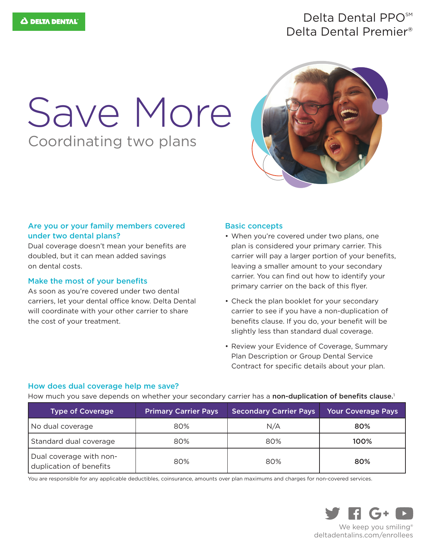### Delta Dental PPO<sup>SM</sup> Delta Dental Premier®

# Coordinating two plans Save More



#### Are you or your family members covered under two dental plans?

Dual coverage doesn't mean your benefits are doubled, but it can mean added savings on dental costs.

#### Make the most of your benefits

As soon as you're covered under two dental carriers, let your dental office know. Delta Dental will coordinate with your other carrier to share the cost of your treatment.

#### Basic concepts

- When you're covered under two plans, one plan is considered your primary carrier. This carrier will pay a larger portion of your benefits, leaving a smaller amount to your secondary carrier. You can find out how to identify your primary carrier on the back of this flyer.
- Check the plan booklet for your secondary carrier to see if you have a non-duplication of benefits clause. If you do, your benefit will be slightly less than standard dual coverage.
- Review your Evidence of Coverage, Summary Plan Description or Group Dental Service Contract for specific details about your plan.

#### How does dual coverage help me save?

How much you save depends on whether your secondary carrier has a non-duplication of benefits clause.<sup>1</sup>

| <b>Type of Coverage</b>                            | <b>Primary Carrier Pays</b> | <b>Secondary Carrier Pays</b> | Your Coverage Pays |
|----------------------------------------------------|-----------------------------|-------------------------------|--------------------|
| No dual coverage                                   | 80%                         | N/A                           | 80%                |
| Standard dual coverage                             | 80%                         | 80%                           | 100%               |
| Dual coverage with non-<br>duplication of benefits | 80%                         | 80%                           | 80%                |

You are responsible for any applicable deductibles, coinsurance, amounts over plan maximums and charges for non-covered services.